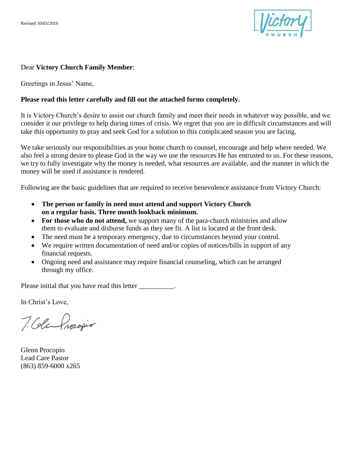

## Dear **Victory Church Family Member**:

Greetings in Jesus' Name,

## **Please read this letter carefully and fill out the attached forms completely.**

It is Victory Church's desire to assist our church family and meet their needs in whatever way possible, and we consider it our privilege to help during times of crisis. We regret that you are in difficult circumstances and will take this opportunity to pray and seek God for a solution to this complicated season you are facing.

We take seriously our responsibilities as your home church to counsel, encourage and help where needed. We also feel a strong desire to please God in the way we use the resources He has entrusted to us. For these reasons, we try to fully investigate why the money is needed, what resources are available, and the manner in which the money will be used if assistance is rendered.

Following are the basic guidelines that are required to receive benevolence assistance from Victory Church:

- **The person or family in need must attend and support Victory Church on a regular basis. Three month lookback minimum.**
- For those who do not attend, we support many of the para-church ministries and allow them to evaluate and disburse funds as they see fit. A list is located at the front desk.
- The need must be a temporary emergency, due to circumstances beyond your control.
- We require written documentation of need and/or copies of notices/bills in support of any financial requests.
- Ongoing need and assistance may require financial counseling, which can be arranged through my office.

Please initial that you have read this letter \_\_\_\_\_\_\_\_\_\_.

In Christ's Love,

7. Colembracopio

Glenn Procopio Lead Care Pastor (863) 859-6000 x265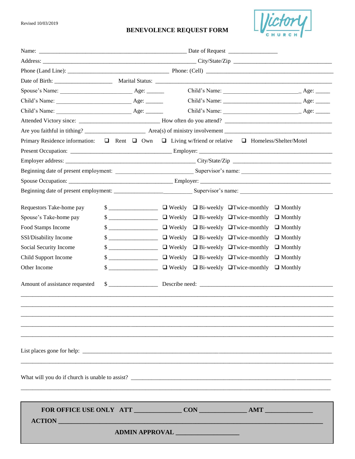Revised 10/03/2019

## **BENEVOLENCE REQUEST FORM**



|                                |        | Primary Residence information: $\Box$ Rent $\Box$ Own $\Box$ Living w/friend or relative $\Box$ Homeless/Shelter/Motel                                                                                                                                                                                              |  |
|--------------------------------|--------|---------------------------------------------------------------------------------------------------------------------------------------------------------------------------------------------------------------------------------------------------------------------------------------------------------------------|--|
|                                |        |                                                                                                                                                                                                                                                                                                                     |  |
|                                |        |                                                                                                                                                                                                                                                                                                                     |  |
|                                |        | Beginning date of present employment: Supervisor's name: Supervisor's name:                                                                                                                                                                                                                                         |  |
|                                |        |                                                                                                                                                                                                                                                                                                                     |  |
|                                |        |                                                                                                                                                                                                                                                                                                                     |  |
| Requestors Take-home pay       |        |                                                                                                                                                                                                                                                                                                                     |  |
| Spouse's Take-home pay         | $\sim$ | $\Box$ Weekly $\Box$ Bi-weekly $\Box$ Twice-monthly $\Box$ Monthly                                                                                                                                                                                                                                                  |  |
| Food Stamps Income             | $\sim$ | $\Box$ Weekly $\Box$ Bi-weekly $\Box$ Twice-monthly $\Box$ Monthly                                                                                                                                                                                                                                                  |  |
| SSI/Disability Income          | $\sim$ | $\Box$ Weekly $\Box$ Bi-weekly $\Box$ Twice-monthly $\Box$ Monthly                                                                                                                                                                                                                                                  |  |
| Social Security Income         | $\sim$ | $\Box$ Weekly $\Box$ Bi-weekly $\Box$ Twice-monthly $\Box$ Monthly                                                                                                                                                                                                                                                  |  |
| Child Support Income           |        | $\frac{1}{2}$ $\frac{1}{2}$ $\frac{1}{2}$ $\frac{1}{2}$ $\frac{1}{2}$ $\frac{1}{2}$ $\frac{1}{2}$ $\frac{1}{2}$ $\frac{1}{2}$ $\frac{1}{2}$ $\frac{1}{2}$ $\frac{1}{2}$ $\frac{1}{2}$ Monthly                                                                                                                       |  |
| Other Income                   |        | $\frac{1}{2}$ $\frac{1}{2}$ $\frac{1}{2}$ $\frac{1}{2}$ $\frac{1}{2}$ $\frac{1}{2}$ $\frac{1}{2}$ $\frac{1}{2}$ $\frac{1}{2}$ $\frac{1}{2}$ $\frac{1}{2}$ $\frac{1}{2}$ $\frac{1}{2}$ $\frac{1}{2}$ $\frac{1}{2}$ $\frac{1}{2}$ $\frac{1}{2}$ $\frac{1}{2}$ $\frac{1}{2}$ $\frac{1}{2}$ $\frac{1}{2}$ $\frac{1}{2}$ |  |
| Amount of assistance requested |        |                                                                                                                                                                                                                                                                                                                     |  |
|                                |        |                                                                                                                                                                                                                                                                                                                     |  |
|                                |        |                                                                                                                                                                                                                                                                                                                     |  |
|                                |        |                                                                                                                                                                                                                                                                                                                     |  |
|                                |        |                                                                                                                                                                                                                                                                                                                     |  |
| ACTION                         |        |                                                                                                                                                                                                                                                                                                                     |  |